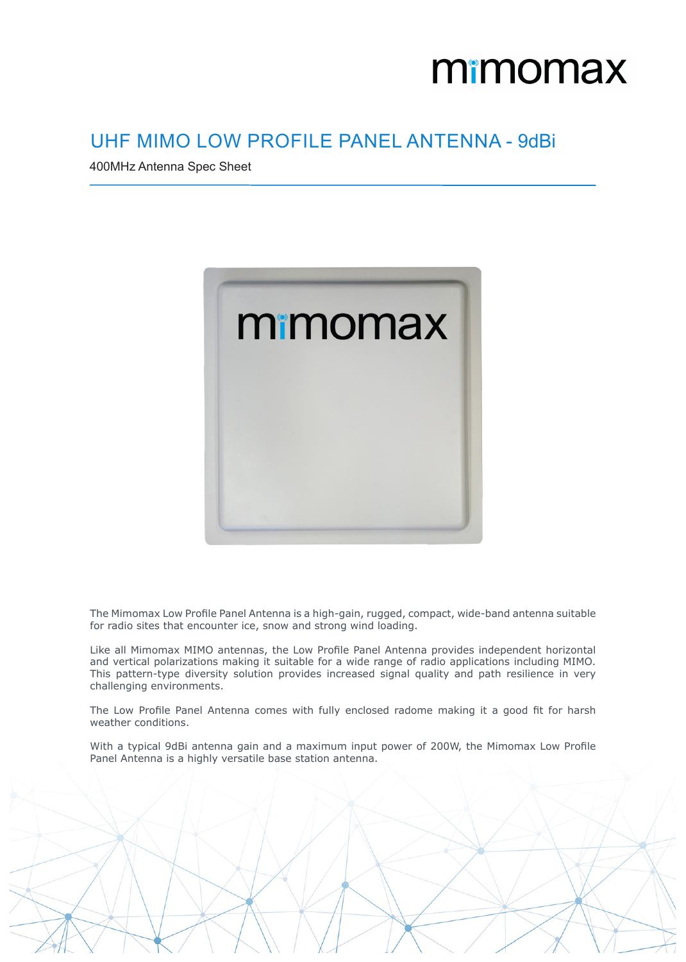## mimomax

## UHF MIMO LOW PROFILE PANEL ANTENNA - 9dBi

400MHz Antenna Spec Sheet



The Mimomax Low Profile Panel Antenna is a high-gain, rugged, compact, wide-band antenna suitable for radio sites that encounter ice, snow and strong wind loading.

Like all Mimomax MIMO antennas, the Low Profile Panel Antenna provides independent horizontal and vertical polarizations making it suitable for a wide range of radio applications including MIMO. This pattern-type diversity solution provides increased signal quality and path resilience in very challenging environments.

The Low Profile Panel Antenna comes with fully enclosed radome making it a good fit for harsh weather conditions.

With a typical 9dBi antenna gain and a maximum input power of 200W, the Mimomax Low Profile Panel Antenna is a highly versatile base station antenna.